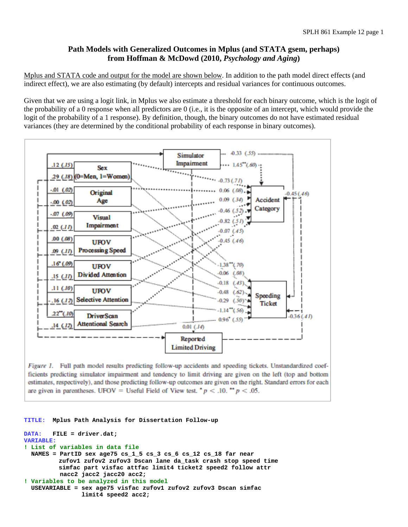## **Path Models with Generalized Outcomes in Mplus (and STATA gsem, perhaps) from Hoffman & McDowd (2010,** *Psychology and Aging***)**

Mplus and STATA code and output for the model are shown below. In addition to the path model direct effects (and indirect effect), we are also estimating (by default) intercepts and residual variances for continuous outcomes.

Given that we are using a logit link, in Mplus we also estimate a threshold for each binary outcome, which is the logit of the probability of a 0 response when all predictors are 0 (i.e., it is the opposite of an intercept, which would provide the logit of the probability of a 1 response). By definition, though, the binary outcomes do not have estimated residual variances (they are determined by the conditional probability of each response in binary outcomes).



Figure 1. Full path model results predicting follow-up accidents and speeding tickets. Unstandardized coefficients predicting simulator impairment and tendency to limit driving are given on the left (top and bottom estimates, respectively), and those predicting follow-up outcomes are given on the right. Standard errors for each are given in parentheses. UFOV = Useful Field of View test. \*  $p < .10$ . \*\*  $p < .05$ .

```
TITLE: Mplus Path Analysis for Dissertation Follow-up 
DATA: FILE = driver.dat; 
VARIABLE: 
! List of variables in data file 
   NAMES = PartID sex age75 cs_1_5 cs_3 cs_6 cs_12 cs_18 far near 
           zufov1 zufov2 zufov3 Dscan lane da_task crash stop speed time 
           simfac part visfac attfac limit4 ticket2 speed2 follow attr 
           nacc2 jacc2 jacc20 acc2; 
! Variables to be analyzed in this model 
   USEVARIABLE = sex age75 visfac zufov1 zufov2 zufov3 Dscan simfac 
                 limit4 speed2 acc2;
```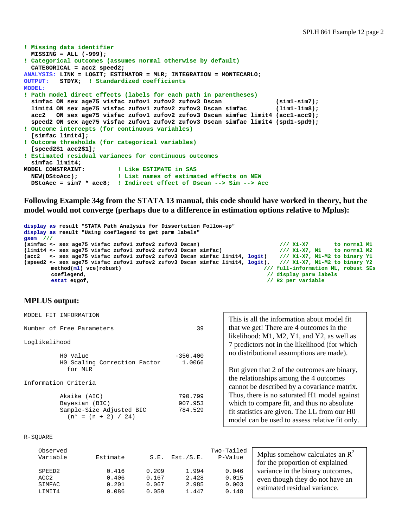```
! Missing data identifier 
   MISSING = ALL (-999); 
! Categorical outcomes (assumes normal otherwise by default) 
   CATEGORICAL = acc2 speed2; 
ANALYSIS: LINK = LOGIT; ESTIMATOR = MLR; INTEGRATION = MONTECARLO; 
OUTPUT: STDYX; ! Standardized coefficients 
MODEL: 
! Path model direct effects (labels for each path in parentheses) 
   simfac ON sex age75 visfac zufov1 zufov2 zufov3 Dscan (sim1-sim7); 
   limit4 ON sex age75 visfac zufov1 zufov2 zufov3 Dscan simfac (lim1-lim8); 
   acc2 ON sex age75 visfac zufov1 zufov2 zufov3 Dscan simfac limit4 (acc1-acc9); 
   speed2 ON sex age75 visfac zufov1 zufov2 zufov3 Dscan simfac limit4 (spd1-spd9); 
! Outcome intercepts (for continuous variables) 
   [simfac limit4]; 
! Outcome thresholds (for categorical variables) 
   [speed2$1 acc2$1]; 
! Estimated residual variances for continuous outcomes 
simfac limit4;<br>MODEL CONSTRAINT:
                           MODEL CONSTRAINT: ! Like ESTIMATE in SAS 
   NEW(DStoAcc); ! List names of estimated effects on NEW 
   DStoAcc = sim7 * acc8; ! Indirect effect of Dscan --> Sim --> Acc
```
**Following Example 34g from the STATA 13 manual, this code should have worked in theory, but the model would not converge (perhaps due to a difference in estimation options relative to Mplus):** 

```
display as result "STATA Path Analysis for Dissertation Follow-up" 
display as result "Using coeflegend to get parm labels" 
gsem ///
(simfac <- sex age75 visfac zufov1 zufov2 zufov3 Dscan) /// X1-X7 to normal M1 
(limit4 <- sex age75 visfac zufov1 zufov2 zufov3 Dscan simfac) /// X1-X7, M1 to normal M2
(acc2 <- sex age75 visfac zufov1 zufov2 zufov3 Dscan simfac limit4, logit) /// X1-X7, M1-M2 to binary Y1
(speed2 <- sex age75 visfac zufov1 zufov2 zufov3 Dscan simfac limit4, logit),<br>method(ml) vce(robust)
        method(ml) vce(robust) \frac{1}{2} coeflegend.<br>
\frac{1}{2} coeflegend.<br>
\frac{1}{2} display parm labels
        coeflegend, \frac{1}{2} and \frac{1}{2} coeflegend, \frac{1}{2} estat eggof, \frac{1}{2} are \frac{1}{2} estat eggof,
                                                                             // R2 per variable
```
## **MPLUS output:**

| MODEL FIT            | INFORMATION                                       |            | This is all the information about model fit                                                    |  |  |  |
|----------------------|---------------------------------------------------|------------|------------------------------------------------------------------------------------------------|--|--|--|
|                      | Number of Free Parameters                         | 39         | that we get! There are 4 outcomes in the                                                       |  |  |  |
| Loglikelihood        |                                                   |            | likelihood: M1, M2, Y1, and Y2, as well as<br>7 predictors not in the likelihood (for which    |  |  |  |
|                      | HO Value                                          | $-356.400$ | no distributional assumptions are made).                                                       |  |  |  |
|                      | HO Scaling Correction Factor                      | 1.0066     |                                                                                                |  |  |  |
|                      | for MLR                                           |            | But given that 2 of the outcomes are binary,                                                   |  |  |  |
| Information Criteria |                                                   |            | the relationships among the 4 outcomes<br>cannot be described by a covariance matrix.          |  |  |  |
|                      | Akaike (AIC)                                      | 790.799    | Thus, there is no saturated H1 model against                                                   |  |  |  |
|                      | Bayesian (BIC)                                    | 907.953    | which to compare fit, and thus no absolute                                                     |  |  |  |
|                      | Sample-Size Adjusted BIC<br>$(n* = (n + 2) / 24)$ | 784.529    | fit statistics are given. The LL from our H0<br>model can be used to assess relative fit only. |  |  |  |

```
R-SQUARE
```

| Observed<br>Variable | Estimate |       | $S.E.$ Est./ $S.E.$ | Two-Tailed<br>P-Value | Mplus somehow calculates an $\mathbb{R}^2$<br>for the proportion of explained |
|----------------------|----------|-------|---------------------|-----------------------|-------------------------------------------------------------------------------|
| SPEED2               | 0.416    | 0.209 | 1.994               | 0.046                 | variance in the binary outcomes,                                              |
| ACC <sub>2</sub>     | 0.406    | 0.167 | 2.428               | 0.015                 | even though they do not have an                                               |
| SIMFAC               | 0.201    | 0.067 | 2.985               | 0.003                 | estimated residual variance.                                                  |
| LIMIT4               | 0.086    | 0.059 | 1.447               | 0.148                 |                                                                               |
|                      |          |       |                     |                       |                                                                               |